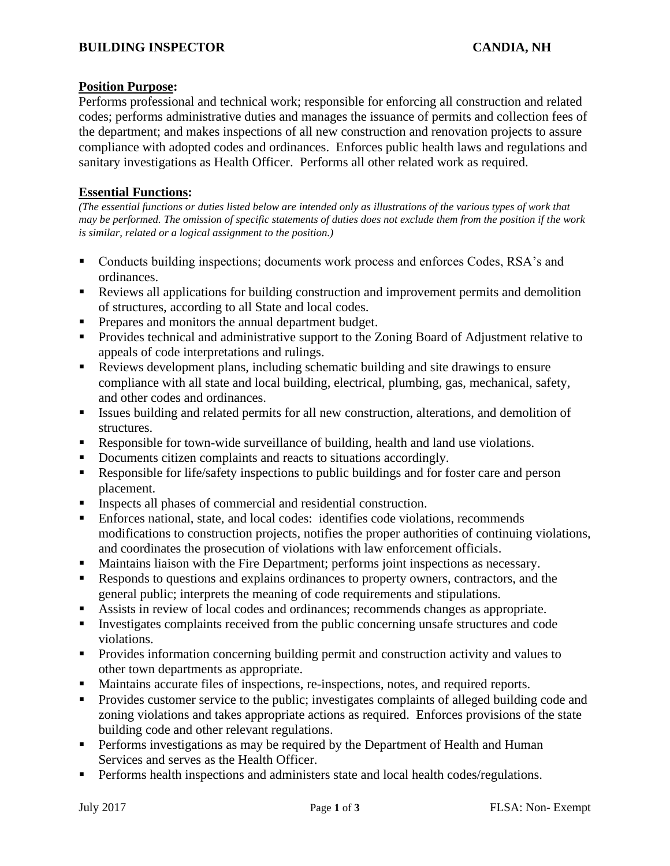## **Position Purpose:**

Performs professional and technical work; responsible for enforcing all construction and related codes; performs administrative duties and manages the issuance of permits and collection fees of the department; and makes inspections of all new construction and renovation projects to assure compliance with adopted codes and ordinances. Enforces public health laws and regulations and sanitary investigations as Health Officer. Performs all other related work as required.

# **Essential Functions:**

*(The essential functions or duties listed below are intended only as illustrations of the various types of work that may be performed. The omission of specific statements of duties does not exclude them from the position if the work is similar, related or a logical assignment to the position.)*

- Conducts building inspections; documents work process and enforces Codes, RSA's and ordinances.
- Reviews all applications for building construction and improvement permits and demolition of structures, according to all State and local codes.
- **•** Prepares and monitors the annual department budget.
- **•** Provides technical and administrative support to the Zoning Board of Adjustment relative to appeals of code interpretations and rulings.
- Reviews development plans, including schematic building and site drawings to ensure compliance with all state and local building, electrical, plumbing, gas, mechanical, safety, and other codes and ordinances.
- Issues building and related permits for all new construction, alterations, and demolition of structures.
- Responsible for town-wide surveillance of building, health and land use violations.
- Documents citizen complaints and reacts to situations accordingly.
- Responsible for life/safety inspections to public buildings and for foster care and person placement.
- Inspects all phases of commercial and residential construction.
- Enforces national, state, and local codes: identifies code violations, recommends modifications to construction projects, notifies the proper authorities of continuing violations, and coordinates the prosecution of violations with law enforcement officials.
- Maintains liaison with the Fire Department; performs joint inspections as necessary.
- Responds to questions and explains ordinances to property owners, contractors, and the general public; interprets the meaning of code requirements and stipulations.
- Assists in review of local codes and ordinances; recommends changes as appropriate.
- Investigates complaints received from the public concerning unsafe structures and code violations.
- **•** Provides information concerning building permit and construction activity and values to other town departments as appropriate.
- Maintains accurate files of inspections, re-inspections, notes, and required reports.
- Provides customer service to the public; investigates complaints of alleged building code and zoning violations and takes appropriate actions as required. Enforces provisions of the state building code and other relevant regulations.
- **•** Performs investigations as may be required by the Department of Health and Human Services and serves as the Health Officer.
- **•** Performs health inspections and administers state and local health codes/regulations.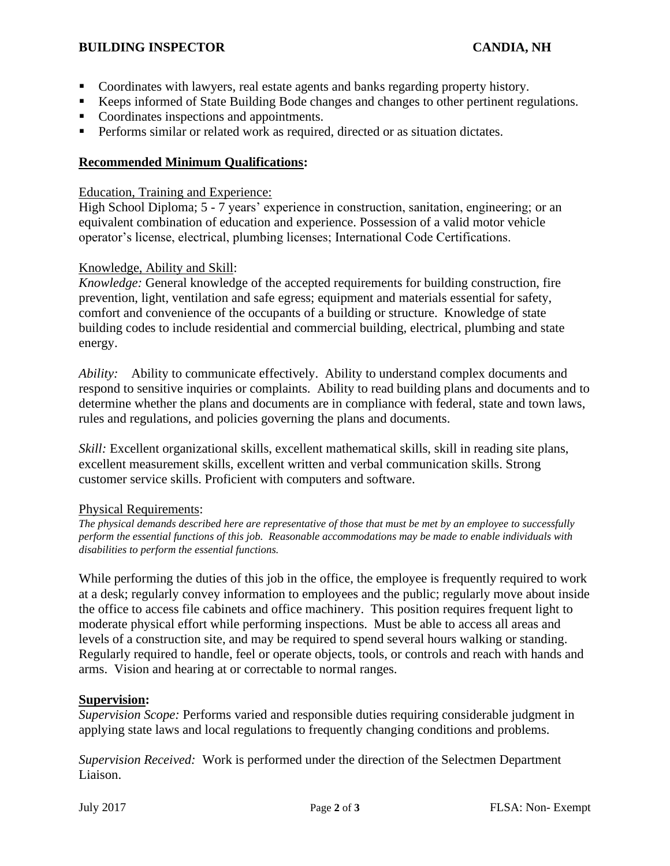### **BUILDING INSPECTOR CANDIA, NH**

- Coordinates with lawyers, real estate agents and banks regarding property history.
- Keeps informed of State Building Bode changes and changes to other pertinent regulations.
- Coordinates inspections and appointments.
- **•** Performs similar or related work as required, directed or as situation dictates.

# **Recommended Minimum Qualifications:**

### Education, Training and Experience:

High School Diploma; 5 - 7 years' experience in construction, sanitation, engineering; or an equivalent combination of education and experience. Possession of a valid motor vehicle operator's license, electrical, plumbing licenses; International Code Certifications.

## Knowledge, Ability and Skill:

*Knowledge:* General knowledge of the accepted requirements for building construction, fire prevention, light, ventilation and safe egress; equipment and materials essential for safety, comfort and convenience of the occupants of a building or structure. Knowledge of state building codes to include residential and commercial building, electrical, plumbing and state energy.

*Ability:* Ability to communicate effectively. Ability to understand complex documents and respond to sensitive inquiries or complaints. Ability to read building plans and documents and to determine whether the plans and documents are in compliance with federal, state and town laws, rules and regulations, and policies governing the plans and documents.

*Skill:* Excellent organizational skills, excellent mathematical skills, skill in reading site plans, excellent measurement skills, excellent written and verbal communication skills. Strong customer service skills. Proficient with computers and software.

#### Physical Requirements:

*The physical demands described here are representative of those that must be met by an employee to successfully perform the essential functions of this job. Reasonable accommodations may be made to enable individuals with disabilities to perform the essential functions.* 

While performing the duties of this job in the office, the employee is frequently required to work at a desk; regularly convey information to employees and the public; regularly move about inside the office to access file cabinets and office machinery. This position requires frequent light to moderate physical effort while performing inspections. Must be able to access all areas and levels of a construction site, and may be required to spend several hours walking or standing. Regularly required to handle, feel or operate objects, tools, or controls and reach with hands and arms. Vision and hearing at or correctable to normal ranges.

#### **Supervision:**

*Supervision Scope:* Performs varied and responsible duties requiring considerable judgment in applying state laws and local regulations to frequently changing conditions and problems.

*Supervision Received:* Work is performed under the direction of the Selectmen Department Liaison.